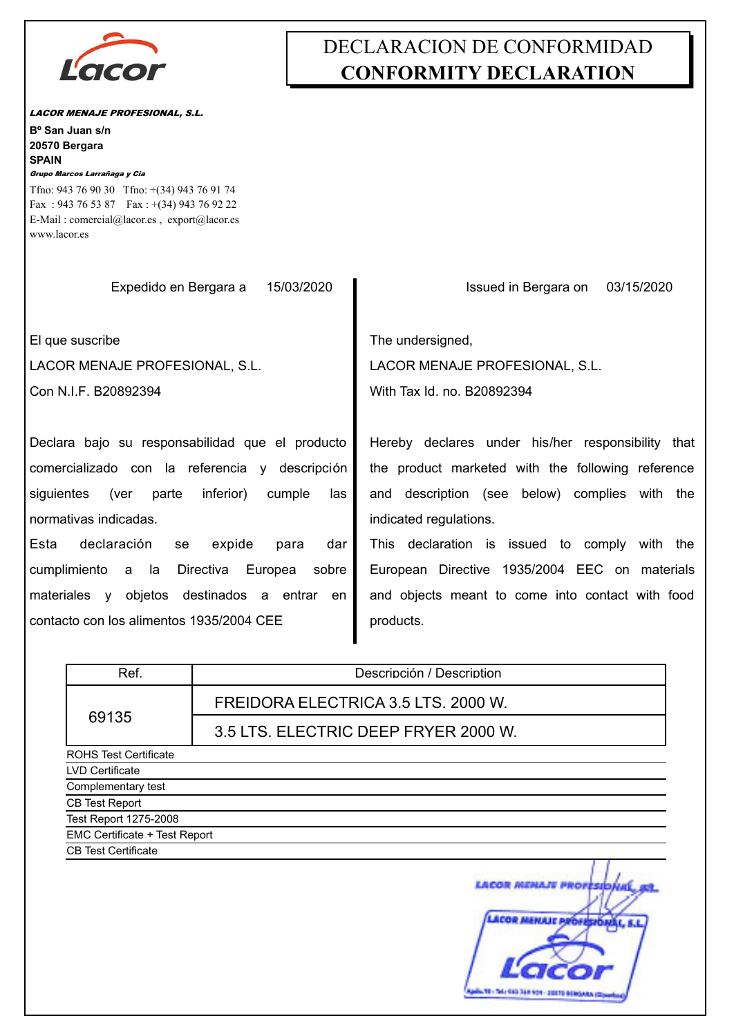

## DECLARACION DE CONFORMIDAD **CONFORMITY DECLARATION**

*LACOR MENAJE PROFESIONAL, S.L.*

*Grupo Marcos Larrañaga y Cia* **SPAIN 20570 Bergara Bº San Juan s/n** E-Mail : comercial@lacor.es , export@lacor.es Fax : 943 76 53 87 Fax : +(34) 943 76 92 22 Tfno: 943 76 90 30 Tfno: +(34) 943 76 91 74

| www.lacor.es                                           |                                                   |
|--------------------------------------------------------|---------------------------------------------------|
| Expedido en Bergara a<br>15/03/2020                    | Issued in Bergara on<br>03/15/2020                |
| El que suscribe                                        | The undersigned,                                  |
| LACOR MENAJE PROFESIONAL, S.L.                         | LACOR MENAJE PROFESIONAL, S.L.                    |
| Con N.I.F. B20892394                                   | With Tax Id. no. B20892394                        |
|                                                        |                                                   |
| Declara bajo su responsabilidad que el producto        | Hereby declares under his/her responsibility that |
| comercializado con la referencia y descripción         | the product marketed with the following reference |
| siguientes (ver<br>inferior)<br>parte<br>cumple<br>las | and description (see below) complies with the     |
| normativas indicadas.                                  | indicated regulations.                            |
| Esta<br>declaración<br>expide<br>para<br>dar<br>se     | This declaration is issued to comply with the     |
| cumplimiento a la Directiva Europea sobre              | European Directive 1935/2004 EEC on materials     |
| materiales y objetos destinados a entrar en            | and objects meant to come into contact with food  |
| contacto con los alimentos 1935/2004 CEE               | products.                                         |
|                                                        |                                                   |

| Ref.                          | Descripción / Description                                   |  |
|-------------------------------|-------------------------------------------------------------|--|
|                               | FREIDORA ELECTRICA 3.5 LTS. 2000 W.                         |  |
| 69135                         | 3.5 LTS. ELECTRIC DEEP FRYER 2000 W.                        |  |
| <b>ROHS Test Certificate</b>  |                                                             |  |
| LVD Certificate               |                                                             |  |
| Complementary test            |                                                             |  |
| CB Test Report                |                                                             |  |
| Test Report 1275-2008         |                                                             |  |
| EMC Certificate + Test Report |                                                             |  |
| <b>CB Test Certificate</b>    |                                                             |  |
|                               | <b>MENAJE PROFESIBILI</b><br>LACOR MENAUT PROFESIONAL, S.L. |  |